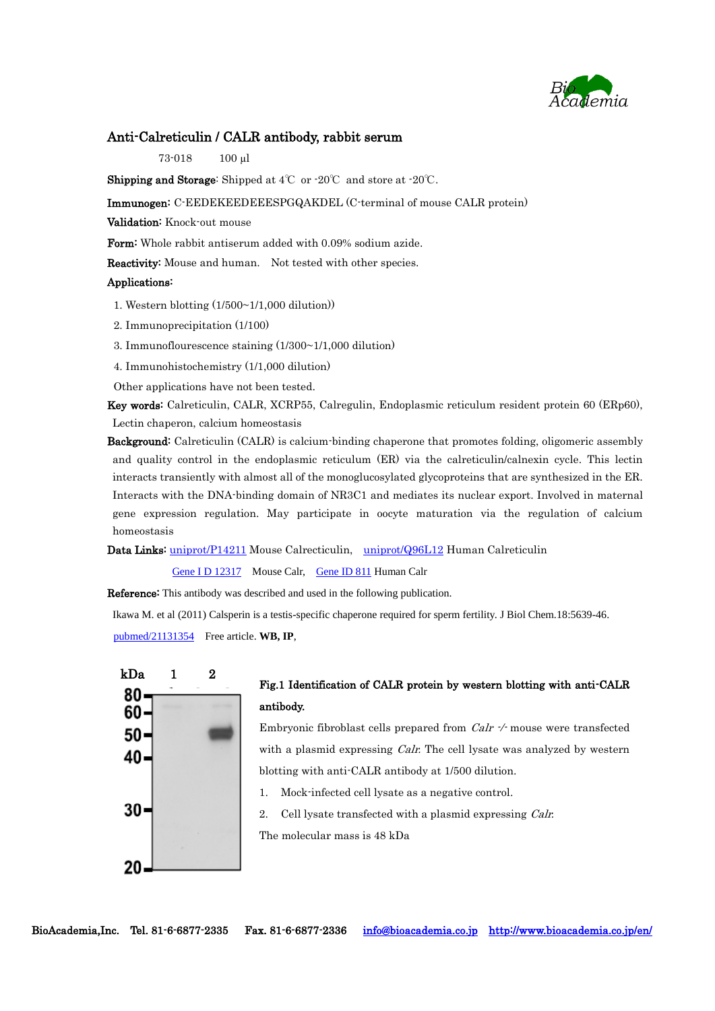

### Anti-Calreticulin / CALR antibody, rabbit serum

73-018 100 µl

Shipping and Storage: Shipped at 4℃ or -20℃ and store at -20℃.

Immunogen: C-EEDEKEEDEEESPGQAKDEL (C-terminal of mouse CALR protein)

Validation: Knock-out mouse

Form: Whole rabbit antiserum added with 0.09% sodium azide.

Reactivity: Mouse and human. Not tested with other species.

### Applications:

1. Western blotting (1/500~1/1,000 dilution))

2. Immunoprecipitation (1/100)

3. Immunoflourescence staining (1/300~1/1,000 dilution)

4. Immunohistochemistry (1/1,000 dilution)

Other applications have not been tested.

Key words: Calreticulin, CALR, XCRP55, Calregulin, Endoplasmic reticulum resident protein 60 (ERp60), Lectin chaperon, calcium homeostasis

Background: Calreticulin (CALR) is calcium-binding chaperone that promotes folding, oligomeric assembly and quality control in the endoplasmic reticulum (ER) via the calreticulin/calnexin cycle. This lectin interacts transiently with almost all of the monoglucosylated glycoproteins that are synthesized in the ER. Interacts with the DNA-binding domain of NR3C1 and mediates its nuclear export. Involved in maternal gene expression regulation. May participate in oocyte maturation via the regulation of calcium homeostasis

Data Links: [uniprot/P14211](http://www.uniprot.org/uniprot/P14211) Mouse Calrecticulin, [uniprot/Q96L12](http://www.uniprot.org/uniprot/Q96L12) Human Calreticulin

Gene I [D 12317](http://www.ncbi.nlm.nih.gov/gene/12317) Mouse Calr, [Gene ID 811](http://www.ncbi.nlm.nih.gov/gene/811) Human Calr

Reference: This antibody was described and used in the following publication.

Ikawa M. et al (2011) Calsperin is a testis-specific chaperone required for sperm fertility. [J Biol Chem.1](http://www.ncbi.nlm.nih.gov/pubmed/21131354)8:5639-46. [pubmed/21131354](http://www.ncbi.nlm.nih.gov/pubmed/21131354) Free article. **WB, IP**,



## Fig.1 Identification of CALR protein by western blotting with anti-CALR antibody.

Embryonic fibroblast cells prepared from  $Calr$   $\gamma$  mouse were transfected with a plasmid expressing *Calr*. The cell lysate was analyzed by western blotting with anti-CALR antibody at 1/500 dilution.

- 1. Mock-infected cell lysate as a negative control.
- 2. Cell lysate transfected with a plasmid expressing Calr.

The molecular mass is 48 kDa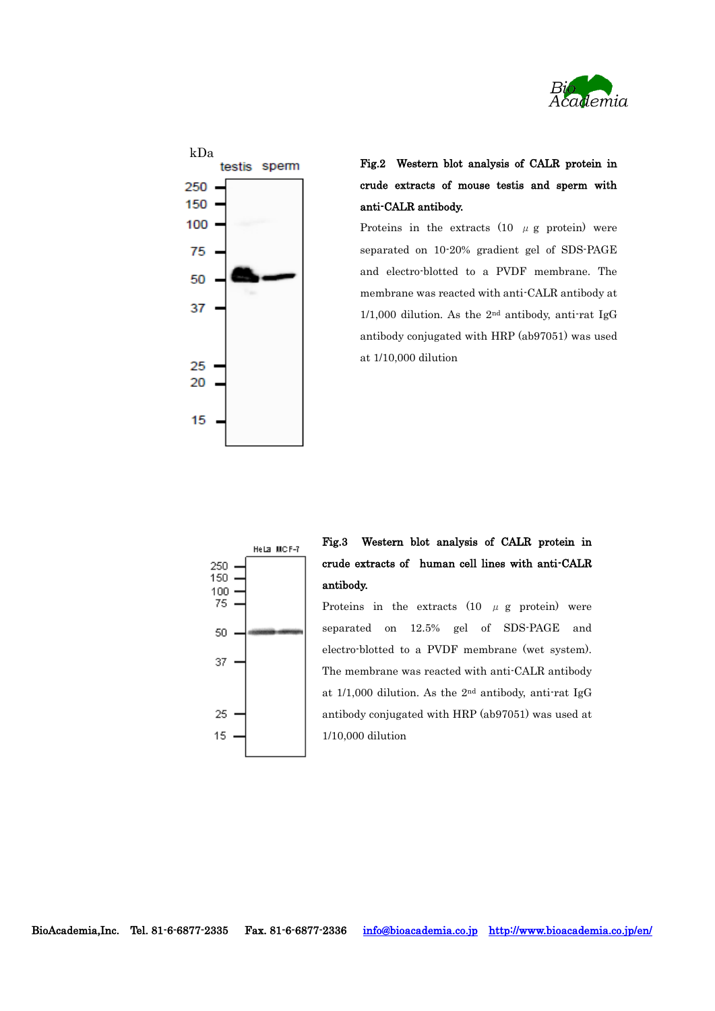



# Fig.2 Western blot analysis of CALR protein in crude extracts of mouse testis and sperm with anti-CALR antibody.

Proteins in the extracts (10  $\mu$  g protein) were separated on 10-20% gradient gel of SDS-PAGE and electro-blotted to a PVDF membrane. The membrane was reacted with anti-CALR antibody at 1/1,000 dilution. As the  $2<sup>nd</sup>$  antibody, anti-rat IgG antibody conjugated with HRP (ab97051) was used at 1/10,000 dilution



## Fig.3 Western blot analysis of CALR protein in crude extracts of human cell lines with anti-CALR antibody.

Proteins in the extracts  $(10 \mu g)$  protein) were separated on 12.5% gel of SDS-PAGE and electro-blotted to a PVDF membrane (wet system). The membrane was reacted with anti-CALR antibody at 1/1,000 dilution. As the 2nd antibody, anti-rat IgG antibody conjugated with HRP (ab97051) was used at 1/10,000 dilution